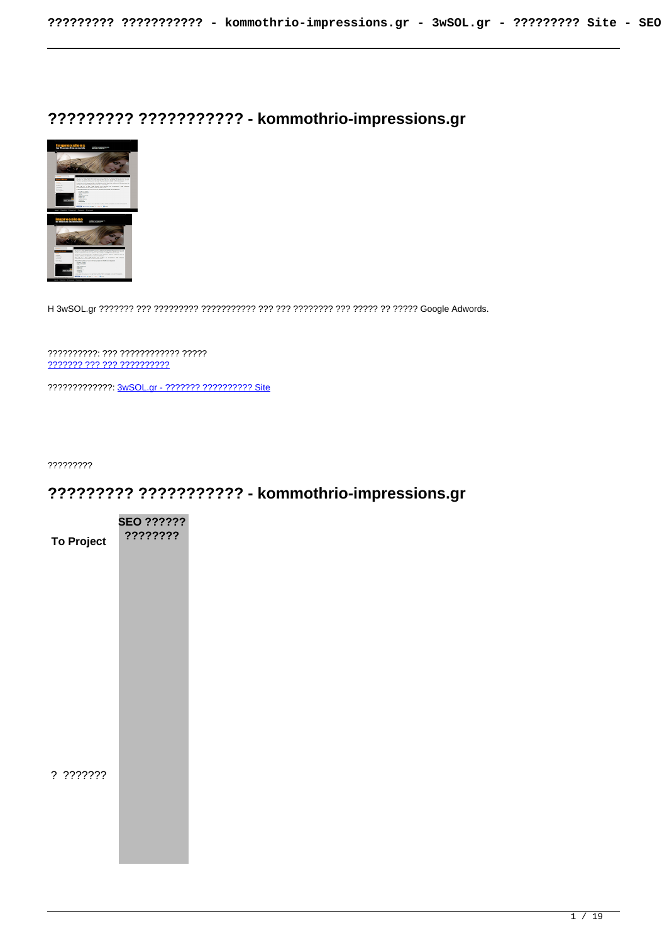## **????????? ??????????? - kommothrio-impressions.gr**



H 3wSOL.gr ??????? ??? ????????? ??????????? ??? ??? ???????? ??? ????? ?? ????? Google Adwords.

## ??????????: ??? ???????????? ????? [??????? ??? ??? ??????????](https://kataskevi-eshop.3wsol.gr/index.php?option=com_virtuemart&view=productdetails&task=askquestion&virtuemart_product_id=7&virtuemart_category_id=1&tmpl=component)

?????????????: [3wSOL.gr - ??????? ?????????? Site](https://kataskevi-eshop.3wsol.gr/index.php?option=com_virtuemart&view=manufacturer&virtuemart_manufacturer_id=1&tmpl=component)

?????????

## **????????? ??????????? - kommothrio-impressions.gr**

| <b>To Project</b> | <b>SEO ??????</b><br>???????? |  |
|-------------------|-------------------------------|--|
|                   |                               |  |
| ? ???????         |                               |  |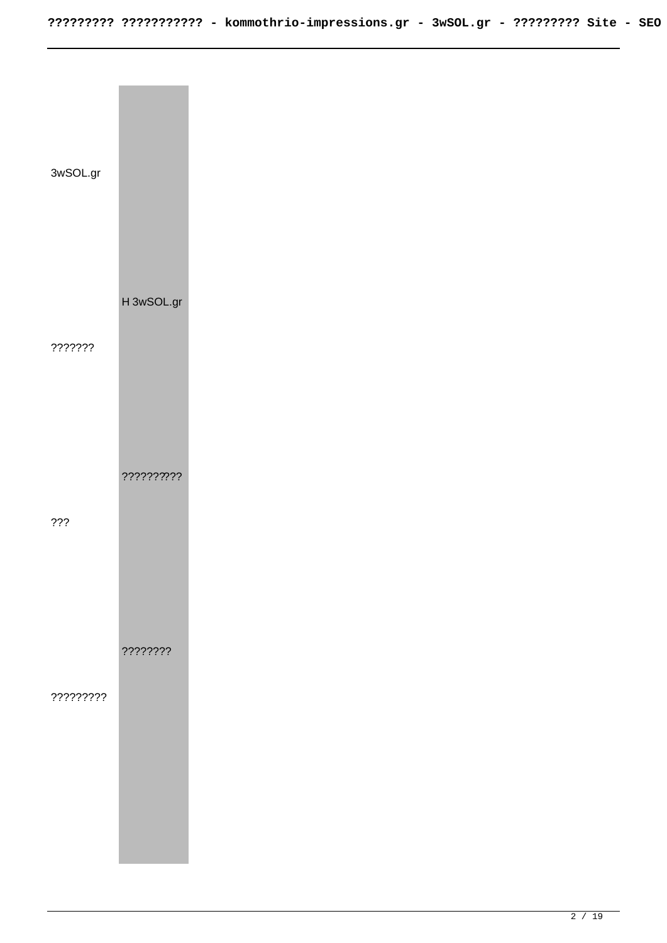| ???????<br>$?$ ?? | H 3wSOL.gr |
|-------------------|------------|
|                   |            |
|                   | ?????????? |
| ?????????         | ????????   |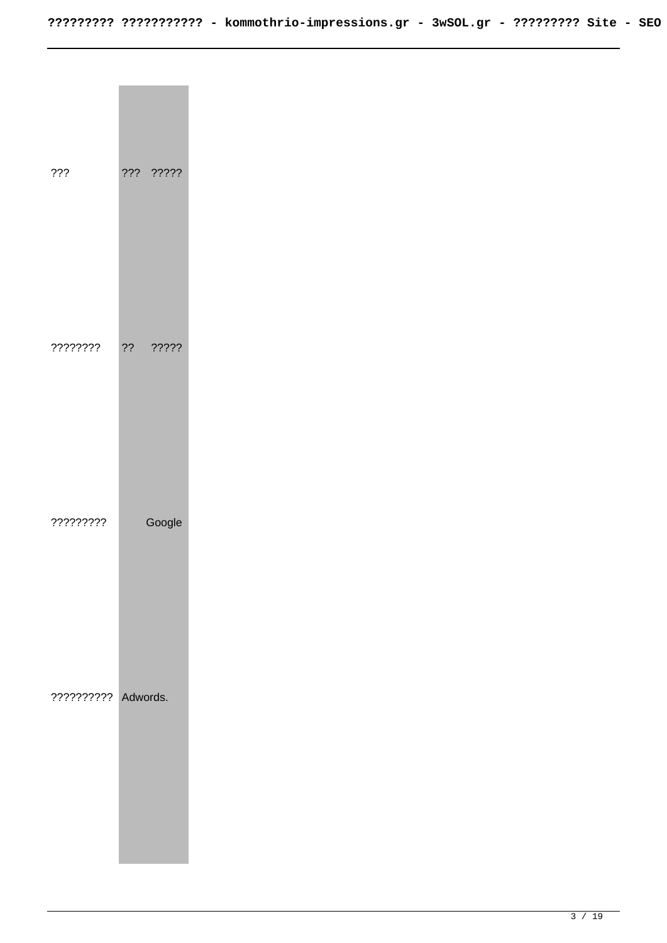| $?$ ??     | ??? ?????   |  |
|------------|-------------|--|
| ????????   | ??<br>????? |  |
| ?????????  | Google      |  |
| ?????????? | Adwords.    |  |
|            |             |  |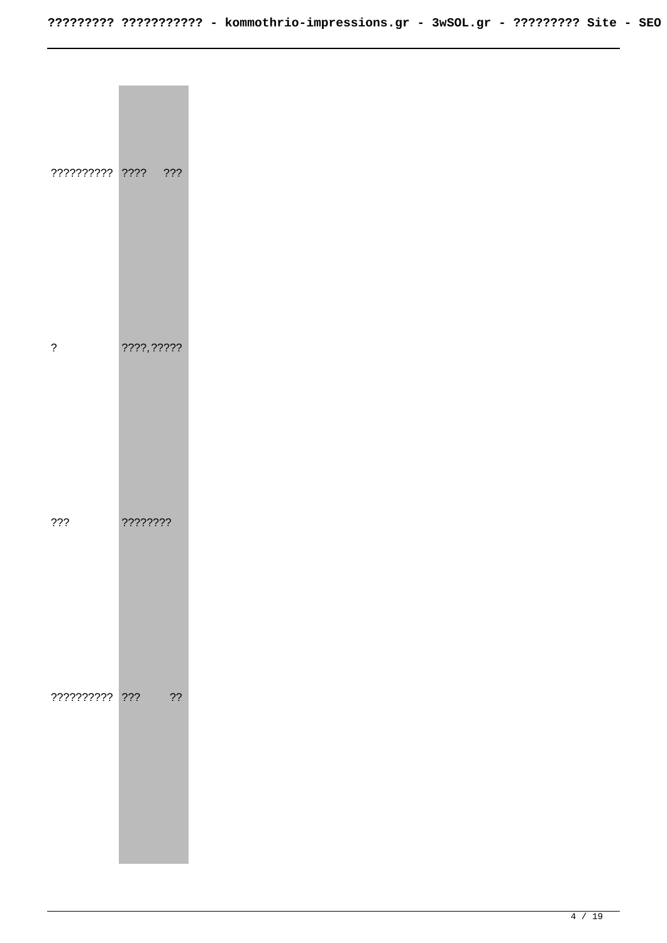| ?????????? ???? ??? |             |  |
|---------------------|-------------|--|
| $\ddot{?}$          | ????, ????? |  |
| ???                 | ????????    |  |
| ?????????? ???      | ??          |  |
|                     |             |  |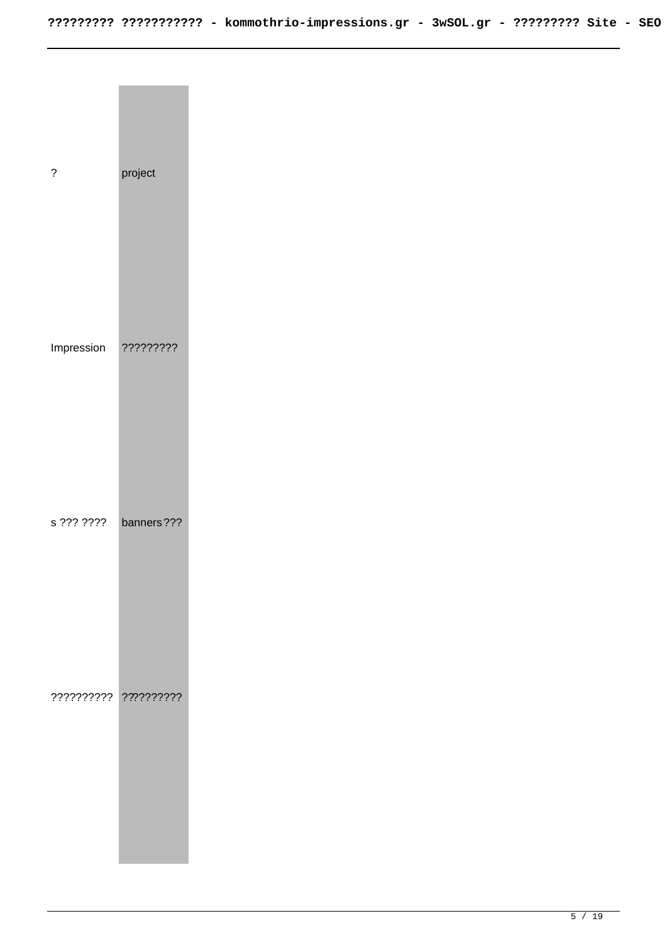| $\ddot{?}$            | project    |  |  |  |
|-----------------------|------------|--|--|--|
| Impression            | ?????????  |  |  |  |
| s ??? ????            | banners??? |  |  |  |
| ?????????? ?????????? |            |  |  |  |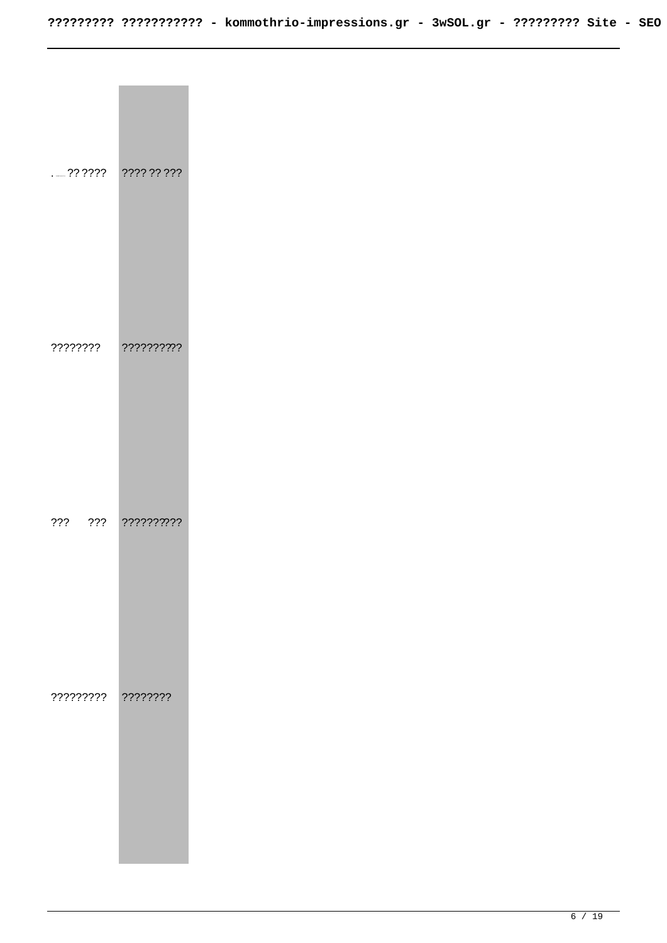| $-22222$   | ???? ?? ??? |  |
|------------|-------------|--|
| ????????   | ??????????  |  |
| ???<br>??? | ??????????  |  |
| ?????????  | ????????    |  |
|            |             |  |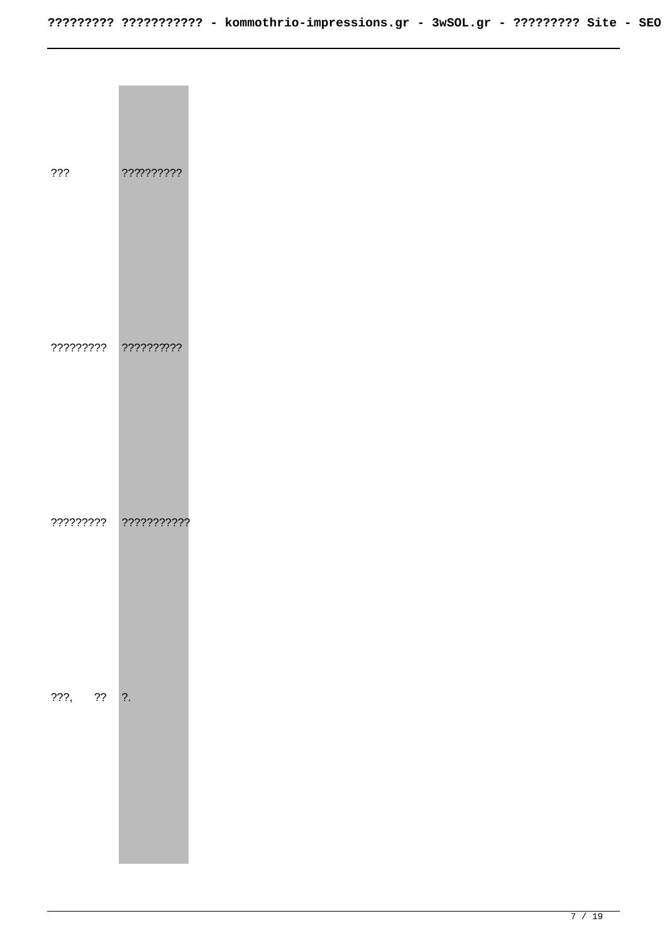| ???                 | ??????????  |  |
|---------------------|-------------|--|
| ?????????           | ??????????  |  |
| ?????????           | ??????????? |  |
| $??\,?\,?\,?\,?\,.$ |             |  |
|                     |             |  |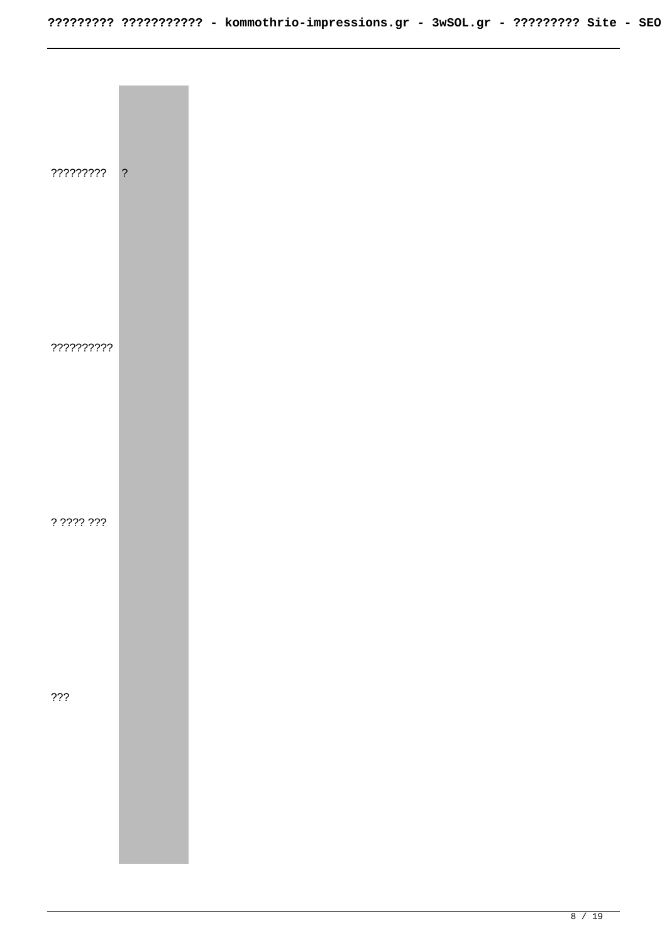| ?????????  | $\overline{?}$ |  |  |  |
|------------|----------------|--|--|--|
| ?????????? |                |  |  |  |
| ? ???? ??? |                |  |  |  |
| ???        |                |  |  |  |
|            |                |  |  |  |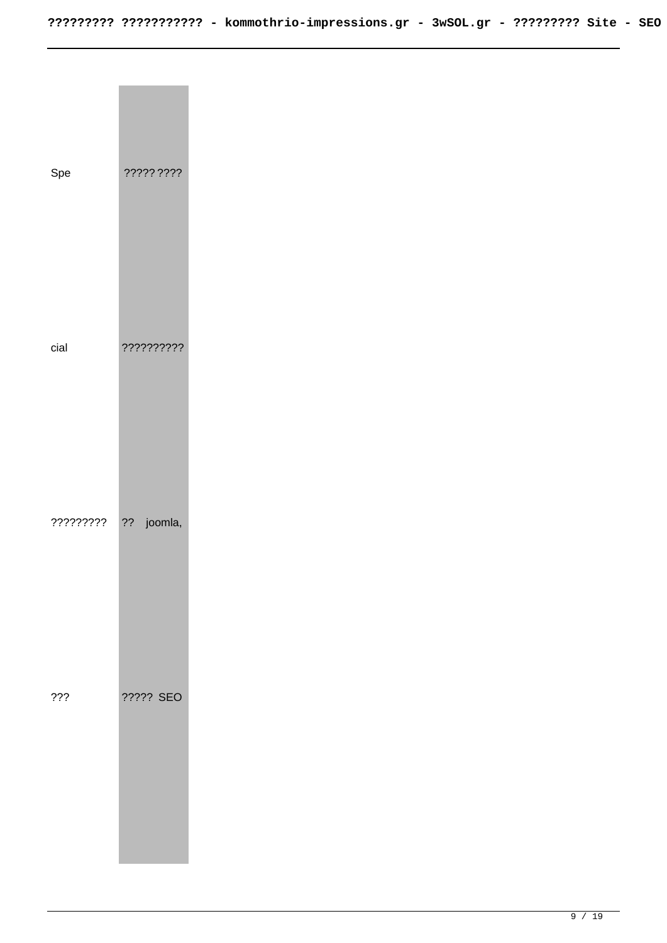| Spe       | ????? ???? |  |  |
|-----------|------------|--|--|
| cial      | ?????????? |  |  |
| ????????? | ?? joomla, |  |  |
| ???       | ????? SEO  |  |  |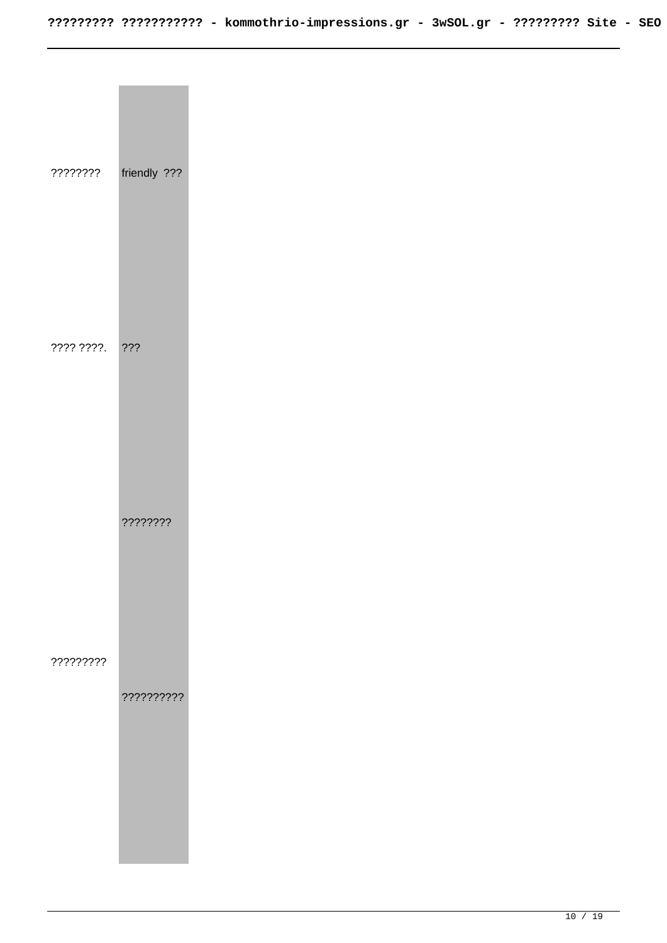| ????????   | friendly ??? |
|------------|--------------|
| ???? ????. | ???          |
|            | ????????     |
| ?????????  | ??????????   |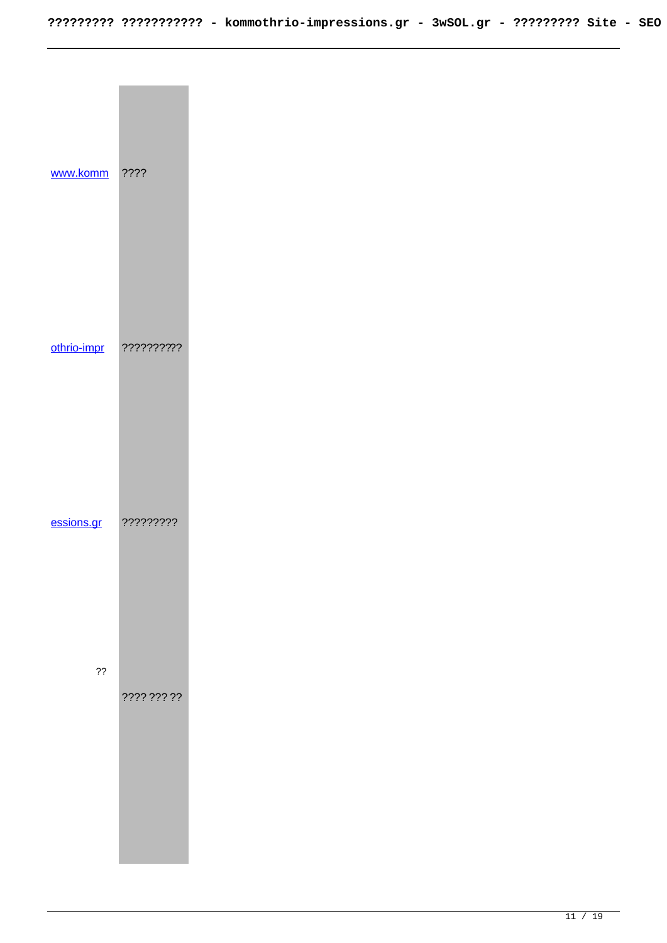| www.komm    | ????        |  |  |  |
|-------------|-------------|--|--|--|
| othrio-impr | ??????????  |  |  |  |
| essions.gr  | ?????????   |  |  |  |
| $22$        | ???? ??? ?? |  |  |  |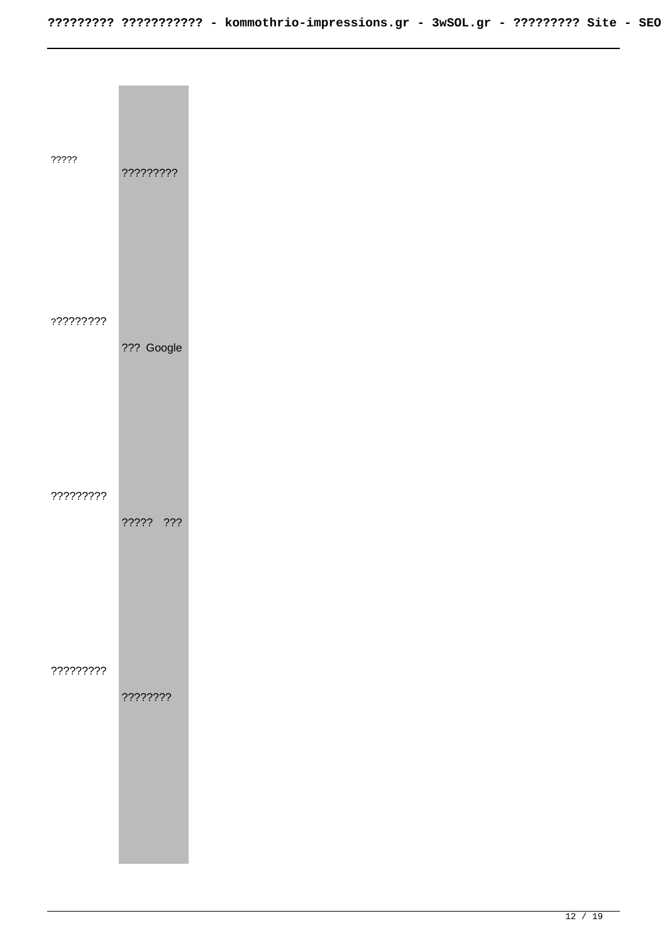| ?????     | ?????????  |  |  |
|-----------|------------|--|--|
| ????????? | ??? Google |  |  |
| ????????? | ????? ???  |  |  |
| ????????? | ????????   |  |  |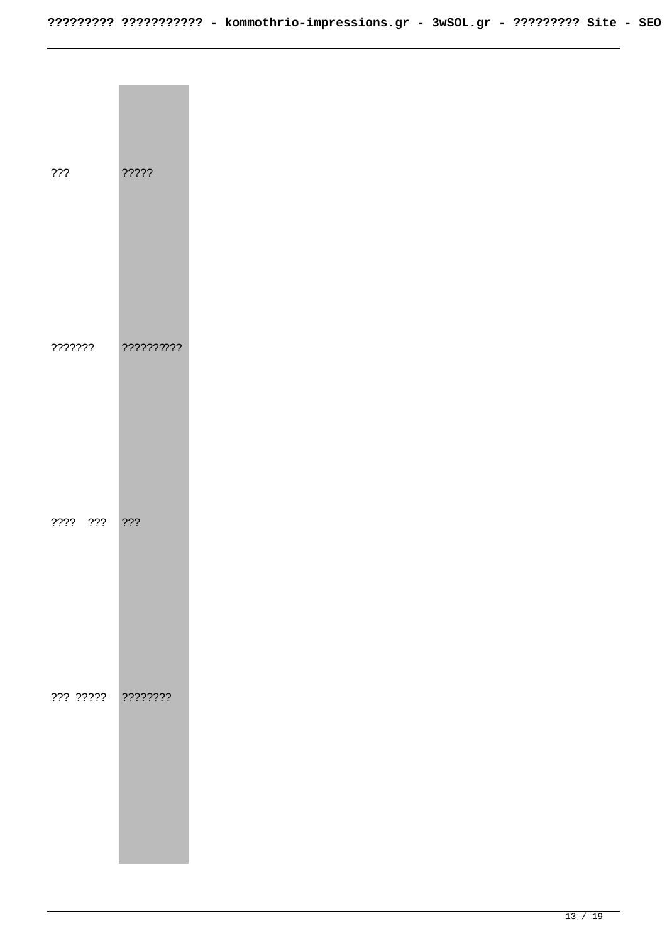| ???                | ?????      |  |  |  |
|--------------------|------------|--|--|--|
| ???????            | ?????????? |  |  |  |
| ???? ???           | ???        |  |  |  |
| ??? ????? ???????? |            |  |  |  |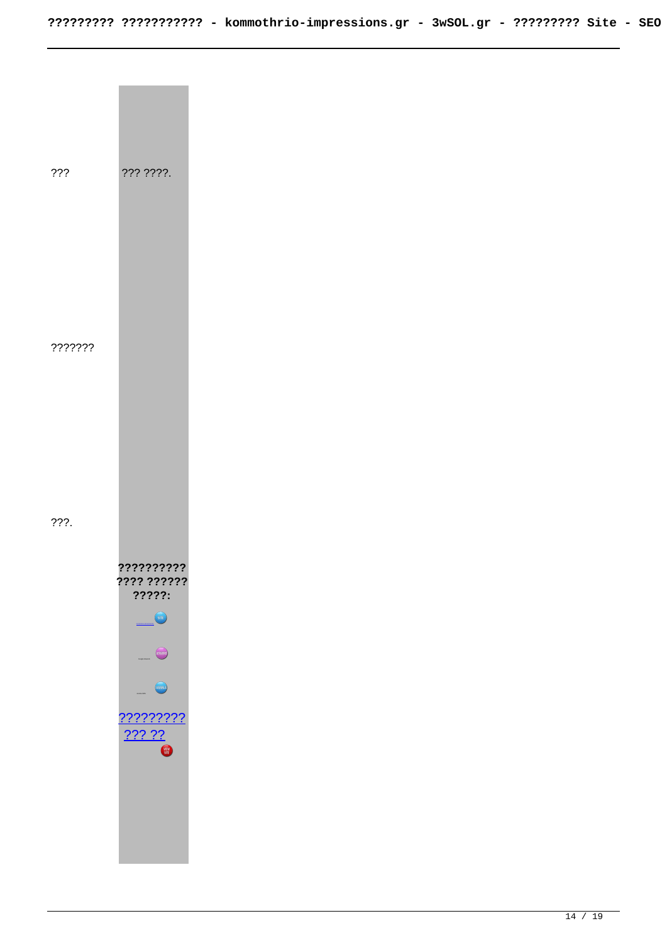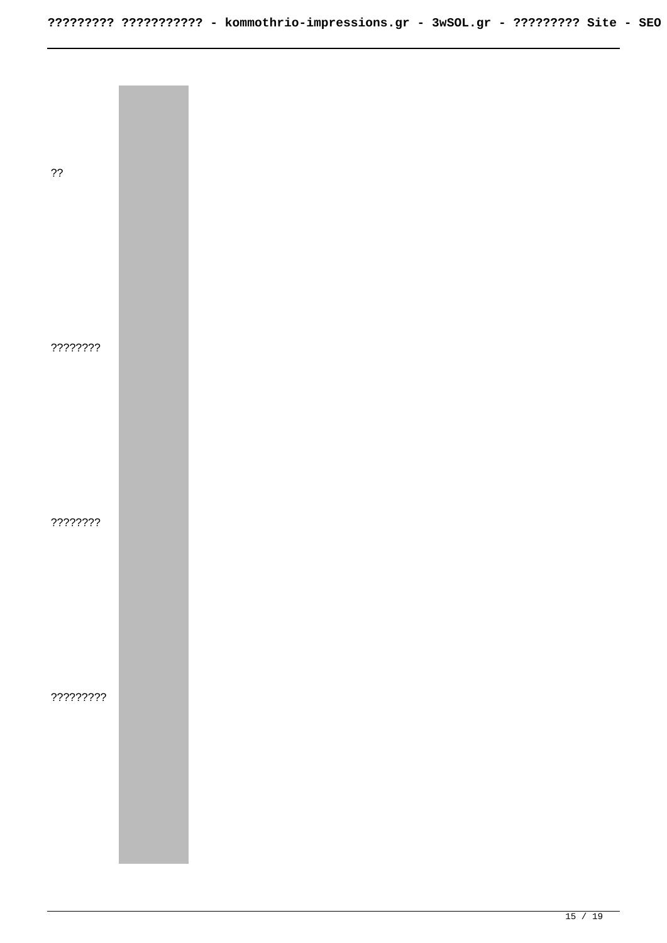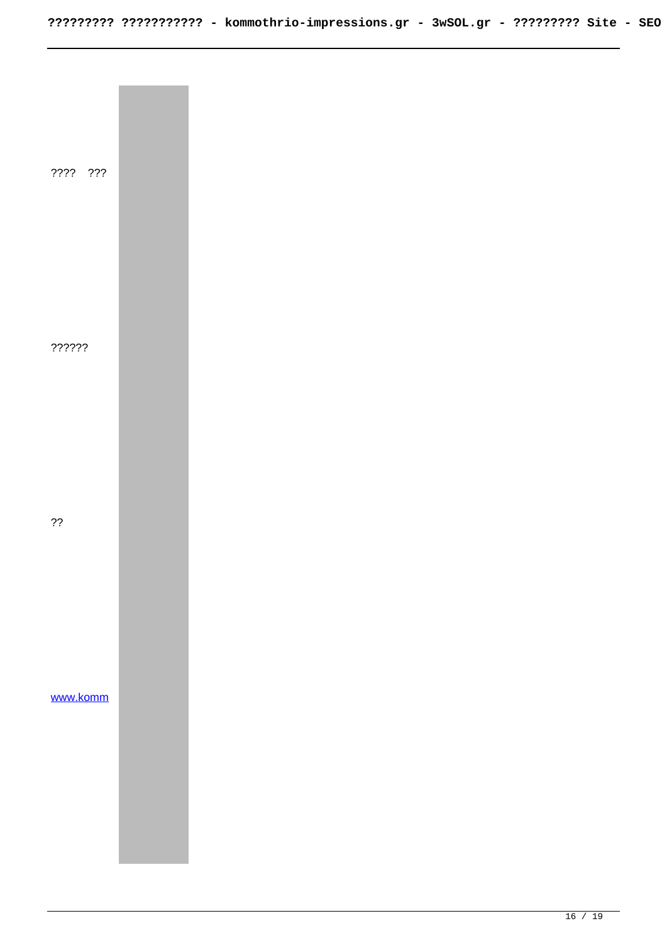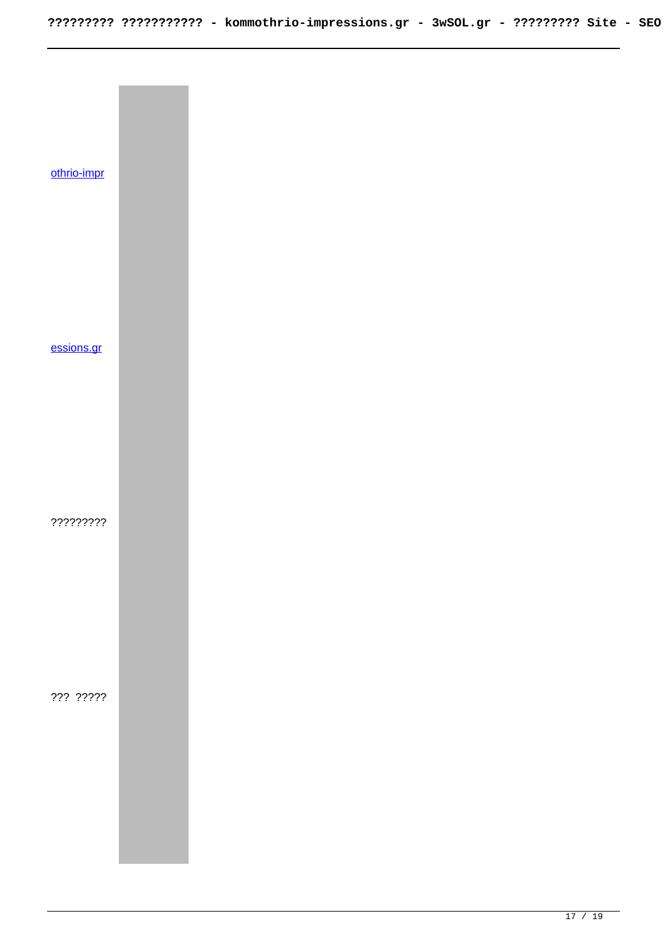[essions.gr](http://www.kommothrio-impressions.gr)

[othrio-impr](http://www.kommothrio-impressions.gr)

## ?????? ???

??? ?????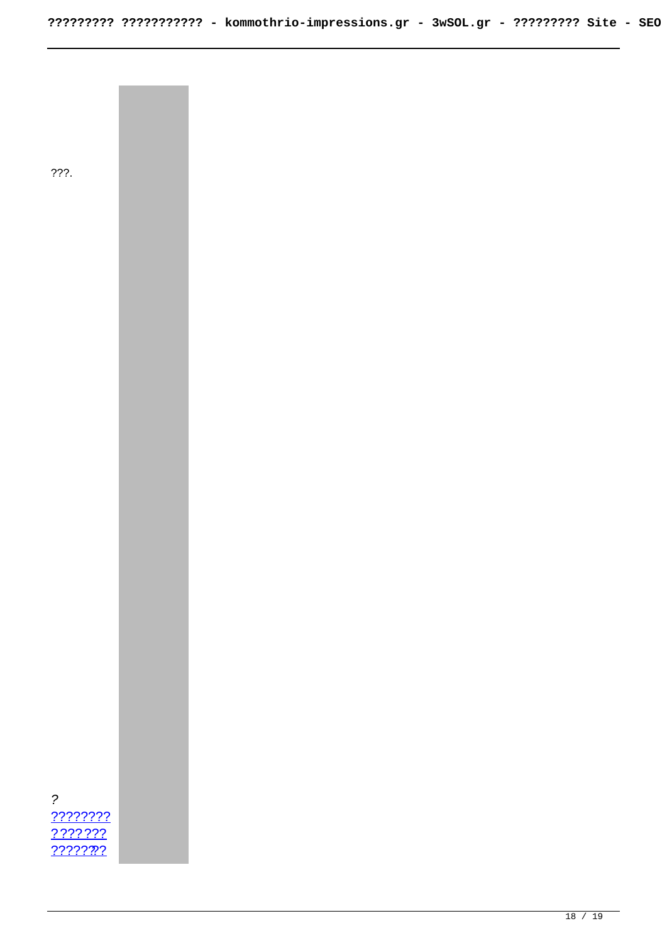???.

? [????????](kataskeyh-site/κατασκευή-ιστοσελίδας) [? ??? ???](kataskeyh-site/κατασκευή-ιστοσελίδας) [?????? ?](kataskeyh-site/κατασκευή-ιστοσελίδας)?